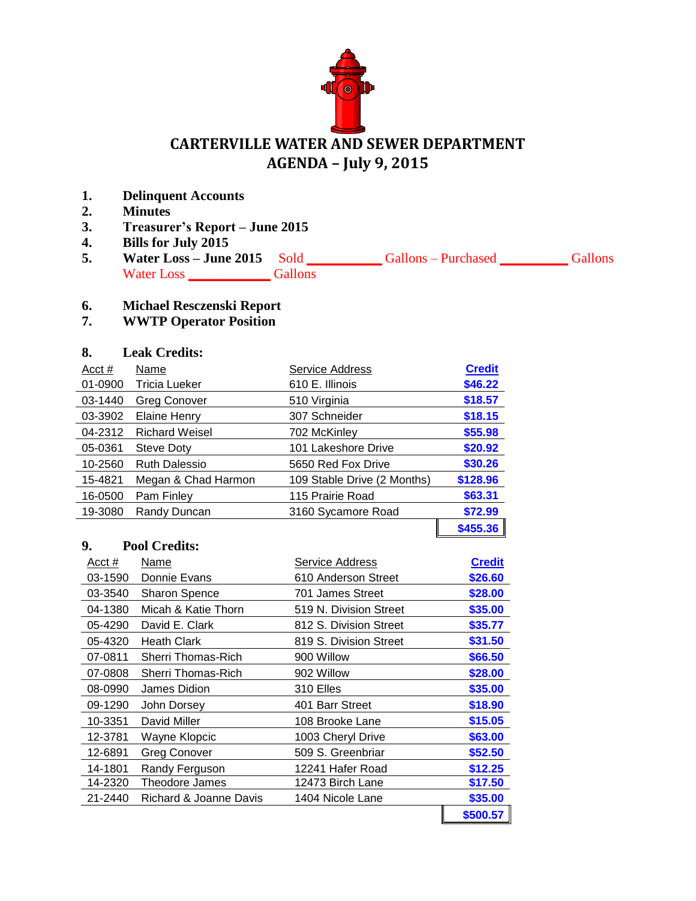

# **CARTERVILLE WATER AND SEWER DEPARTMENT AGENDA – July 9, 2015**

- **1. Delinquent Accounts**
- **2. Minutes**
- **3. Treasurer's Report – June 2015**
- **4. Bills for July 2015**
- **5. Water Loss – June 2015** Sold **\_\_\_\_\_\_\_\_\_\_\_** Gallons Purchased **\_\_\_\_\_\_\_\_\_\_** Gallons Water Loss **\_\_\_\_\_\_\_\_\_\_\_\_** Gallons

## **6. Michael Resczenski Report**

# **7. WWTP Operator Position**

### **8. Leak Credits:**

| Acct #  | Name                  | Service Address             | <b>Credit</b> |
|---------|-----------------------|-----------------------------|---------------|
| 01-0900 | Tricia Lueker         | 610 E. Illinois             | \$46.22       |
| 03-1440 | <b>Greg Conover</b>   | 510 Virginia                | \$18.57       |
| 03-3902 | Elaine Henry          | 307 Schneider               | \$18.15       |
| 04-2312 | <b>Richard Weisel</b> | 702 McKinley                | \$55.98       |
| 05-0361 | Steve Doty            | 101 Lakeshore Drive         | \$20.92       |
| 10-2560 | <b>Ruth Dalessio</b>  | 5650 Red Fox Drive          | \$30.26       |
| 15-4821 | Megan & Chad Harmon   | 109 Stable Drive (2 Months) | \$128.96      |
| 16-0500 | Pam Finley            | 115 Prairie Road            | \$63.31       |
| 19-3080 | Randy Duncan          | 3160 Sycamore Road          | \$72.99       |
|         |                       |                             | \$455.36      |

#### **9. Pool Credits:**

| Acct $#$ | Name                   | Service Address        | <b>Credit</b> |  |
|----------|------------------------|------------------------|---------------|--|
| 03-1590  | Donnie Evans           | 610 Anderson Street    | \$26.60       |  |
| 03-3540  | <b>Sharon Spence</b>   | 701 James Street       | \$28.00       |  |
| 04-1380  | Micah & Katie Thorn    | 519 N. Division Street | \$35.00       |  |
| 05-4290  | David E. Clark         | 812 S. Division Street | \$35.77       |  |
| 05-4320  | <b>Heath Clark</b>     | 819 S. Division Street | \$31.50       |  |
| 07-0811  | Sherri Thomas-Rich     | 900 Willow             | \$66.50       |  |
| 07-0808  | Sherri Thomas-Rich     | 902 Willow             | \$28.00       |  |
| 08-0990  | James Didion           | 310 Elles              | \$35.00       |  |
| 09-1290  | John Dorsey            | 401 Barr Street        | \$18.90       |  |
| 10-3351  | David Miller           | 108 Brooke Lane        | \$15.05       |  |
| 12-3781  | Wayne Klopcic          | 1003 Cheryl Drive      | \$63.00       |  |
| 12-6891  | Greg Conover           | 509 S. Greenbriar      | \$52.50       |  |
| 14-1801  | Randy Ferguson         | 12241 Hafer Road       | \$12.25       |  |
| 14-2320  | Theodore James         | 12473 Birch Lane       | \$17.50       |  |
| 21-2440  | Richard & Joanne Davis | 1404 Nicole Lane       | \$35.00       |  |
|          |                        |                        | \$500.57      |  |